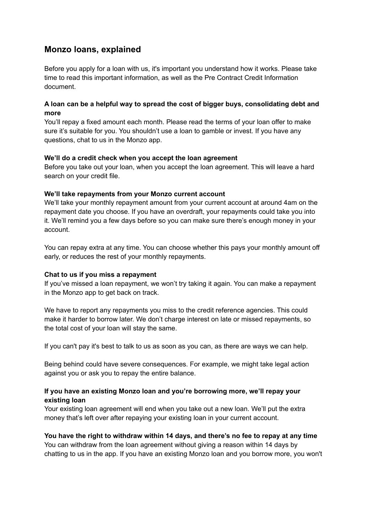# **Monzo loans, explained**

Before you apply for a loan with us, it's important you understand how it works. Please take time to read this important information, as well as the Pre Contract Credit Information document.

## **A loan can be a helpful way to spread the cost of bigger buys, consolidating debt and more**

You'll repay a fixed amount each month. Please read the terms of your loan offer to make sure it's suitable for you. You shouldn't use a loan to gamble or invest. If you have any questions, chat to us in the Monzo app.

#### **We'll do a credit check when you accept the loan agreement**

Before you take out your loan, when you accept the loan agreement. This will leave a hard search on your credit file.

#### **We'll take repayments from your Monzo current account**

We'll take your monthly repayment amount from your current account at around 4am on the repayment date you choose. If you have an overdraft, your repayments could take you into it. We'll remind you a few days before so you can make sure there's enough money in your account.

You can repay extra at any time. You can choose whether this pays your monthly amount off early, or reduces the rest of your monthly repayments.

## **Chat to us if you miss a repayment**

If you've missed a loan repayment, we won't try taking it again. You can make a repayment in the Monzo app to get back on track.

We have to report any repayments you miss to the credit reference agencies. This could make it harder to borrow later. We don't charge interest on late or missed repayments, so the total cost of your loan will stay the same.

If you can't pay it's best to talk to us as soon as you can, as there are ways we can help.

Being behind could have severe consequences. For example, we might take legal action against you or ask you to repay the entire balance.

## **If you have an existing Monzo loan and you're borrowing more, we'll repay your existing loan**

Your existing loan agreement will end when you take out a new loan. We'll put the extra money that's left over after repaying your existing loan in your current account.

## **You have the right to withdraw within 14 days, and there's no fee to repay at any time** You can withdraw from the loan agreement without giving a reason within 14 days by

chatting to us in the app. If you have an existing Monzo loan and you borrow more, you won't